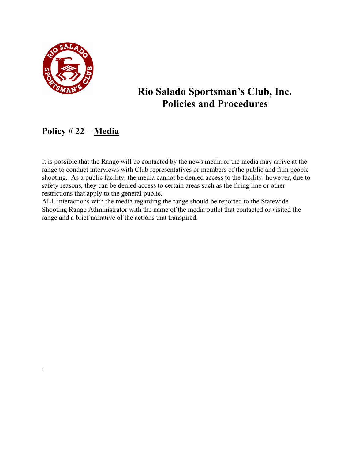

:

## **Rio Salado Sportsman's Club, Inc. Policies and Procedures**

## **Policy # 22 – Media**

It is possible that the Range will be contacted by the news media or the media may arrive at the range to conduct interviews with Club representatives or members of the public and film people shooting. As a public facility, the media cannot be denied access to the facility; however, due to safety reasons, they can be denied access to certain areas such as the firing line or other restrictions that apply to the general public.

ALL interactions with the media regarding the range should be reported to the Statewide Shooting Range Administrator with the name of the media outlet that contacted or visited the range and a brief narrative of the actions that transpired.